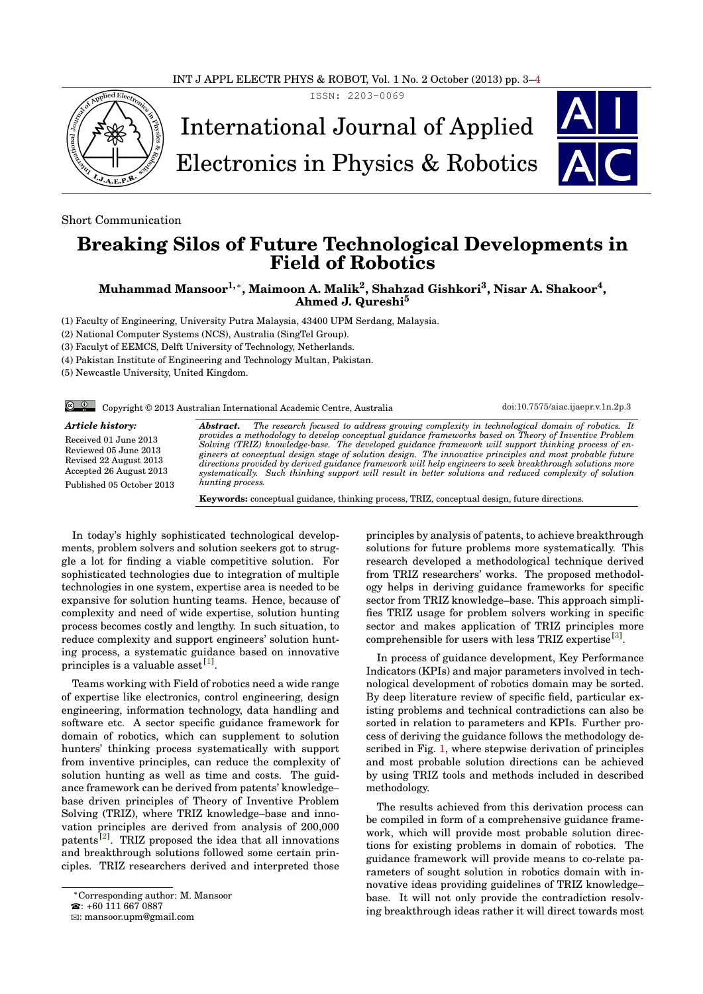ISSN: 2203-0069



International Journal of Applied

Electronics in Physics & Robotics

Short Communication

## **Breaking Silos of Future Technological Developments in Field of Robotics**

**Muhammad Mansoor1,**<sup>∗</sup> **, Maimoon A. Malik<sup>2</sup> , Shahzad Gishkori<sup>3</sup> , Nisar A. Shakoor<sup>4</sup> , Ahmed J. Qureshi<sup>5</sup>**

(1) Faculty of Engineering, University Putra Malaysia, 43400 UPM Serdang, Malaysia.

(2) National Computer Systems (NCS), Australia (SingTel Group).

(3) Faculyt of EEMCS, Delft University of Technology, Netherlands.

(4) Pakistan Institute of Engineering and Technology Multan, Pakistan.

(5) Newcastle University, United Kingdom.

Copyright © 2013 Australian International Academic Centre, Australia [doi:10.7575/aiac.ijaepr.v.1n.2p.3](http://dx.doi.org/10.7575/aiac.ijaepr.v.1n.2p.3)

*Article history:* Received 01 June 2013 Reviewed 05 June 2013 Revised 22 August 2013

Accepted 26 August 2013 Published 05 October 2013

**Abstract.** The research focused to address growing complexity in technological domain of robotics. It<br>provides a methodology to develop conceptual guidance frameworks based on Theory of Inventive Problem<br>Solving (TRI *gineers at conceptual design stage of solution design. The innovative principles and most probable future directions provided by derived guidance framework will help engineers to seek breakthrough solutions more systematically. Such thinking support will result in better solutions and reduced complexity of solution hunting process.*

**Keywords:** conceptual guidance, thinking process, TRIZ, conceptual design, future directions.

<span id="page-0-0"></span>In today's highly sophisticated technological developments, problem solvers and solution seekers got to struggle a lot for finding a viable competitive solution. For sophisticated technologies due to integration of multiple technologies in one system, expertise area is needed to be expansive for solution hunting teams. Hence, because of complexity and need of wide expertise, solution hunting process becomes costly and lengthy. In such situation, to reduce complexity and support engineers' solution hunting process, a systematic guidance based on innovative principles is a valuable asset<sup>[\[1\]](#page-1-1)</sup>.

Teams working with Field of robotics need a wide range of expertise like electronics, control engineering, design engineering, information technology, data handling and software etc. A sector specific guidance framework for domain of robotics, which can supplement to solution hunters' thinking process systematically with support from inventive principles, can reduce the complexity of solution hunting as well as time and costs. The guidance framework can be derived from patents' knowledge– base driven principles of Theory of Inventive Problem Solving (TRIZ), where TRIZ knowledge–base and innovation principles are derived from analysis of 200,000 patents<sup>[\[2\]](#page-1-2)</sup>. TRIZ proposed the idea that all innovations and breakthrough solutions followed some certain principles. TRIZ researchers derived and interpreted those

principles by analysis of patents, to achieve breakthrough solutions for future problems more systematically. This research developed a methodological technique derived from TRIZ researchers' works. The proposed methodology helps in deriving guidance frameworks for specific sector from TRIZ knowledge–base. This approach simplifies TRIZ usage for problem solvers working in specific sector and makes application of TRIZ principles more comprehensible for users with less TRIZ expertise<sup>[\[3\]](#page-1-3)</sup>.

In process of guidance development, Key Performance Indicators (KPIs) and major parameters involved in technological development of robotics domain may be sorted. By deep literature review of specific field, particular existing problems and technical contradictions can also be sorted in relation to parameters and KPIs. Further process of deriving the guidance follows the methodology described in Fig. [1,](#page-0-0) where stepwise derivation of principles and most probable solution directions can be achieved by using TRIZ tools and methods included in described methodology.

The results achieved from this derivation process can be compiled in form of a comprehensive guidance framework, which will provide most probable solution directions for existing problems in domain of robotics. The guidance framework will provide means to co-relate parameters of sought solution in robotics domain with innovative ideas providing guidelines of TRIZ knowledge– base. It will not only provide the contradiction resolving breakthrough ideas rather it will direct towards most

<sup>∗</sup>Corresponding author: M. Mansoor

 $\cdot$  +60 111 667 0887

B: mansoor.upm@gmail.com